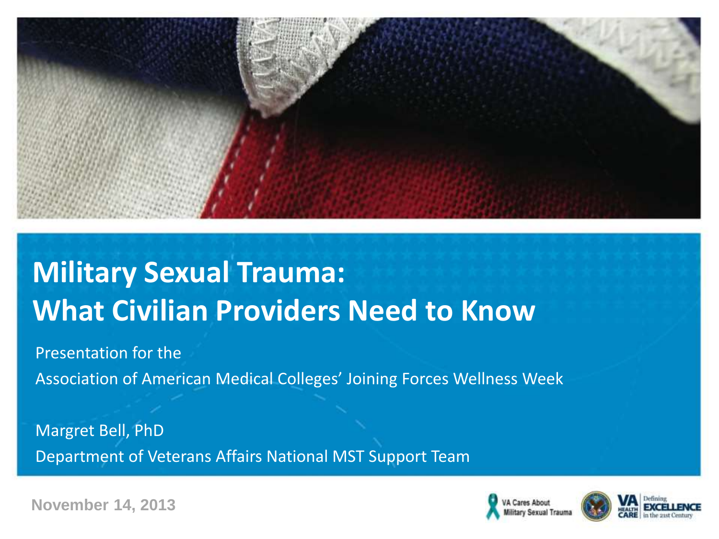

# **Military Sexual Trauma: What Civilian Providers Need to Know**

Presentation for the

Association of American Medical Colleges' Joining Forces Wellness Week

Margret Bell, PhD Department of Veterans Affairs National MST Support Team





**November 14, 2013**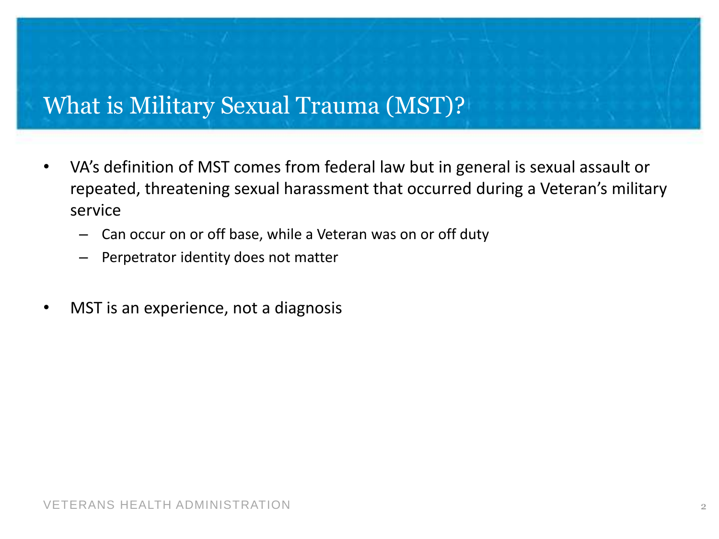#### What is Military Sexual Trauma (MST)?

- VA's definition of MST comes from federal law but in general is sexual assault or repeated, threatening sexual harassment that occurred during a Veteran's military service
	- Can occur on or off base, while a Veteran was on or off duty
	- Perpetrator identity does not matter
- MST is an experience, not a diagnosis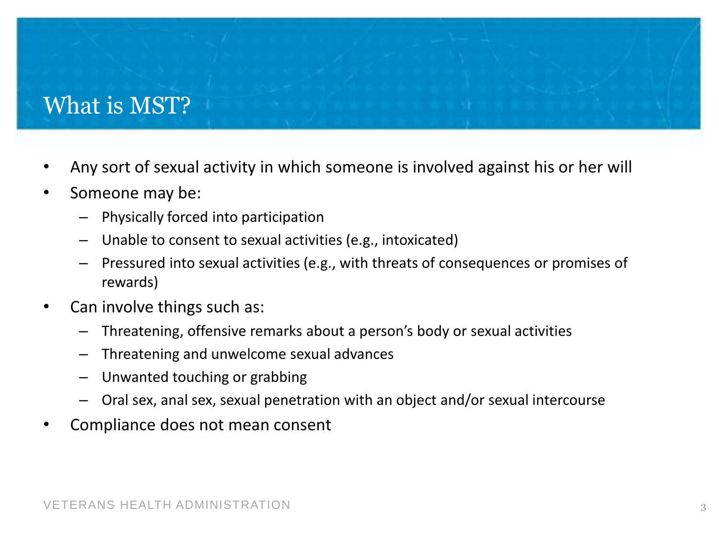# What is MST?

- Any sort of sexual activity in which someone is involved against his or her will
- Someone may be:
	- Physically forced into participation
	- Unable to consent to sexual activities (e.g., intoxicated)
	- Pressured into sexual activities (e.g., with threats of consequences or promises of rewards)
- Can involve things such as:
	- Threatening, offensive remarks about a person's body or sexual activities
	- Threatening and unwelcome sexual advances
	- Unwanted touching or grabbing
	- Oral sex, anal sex, sexual penetration with an object and/or sexual intercourse
- Compliance does not mean consent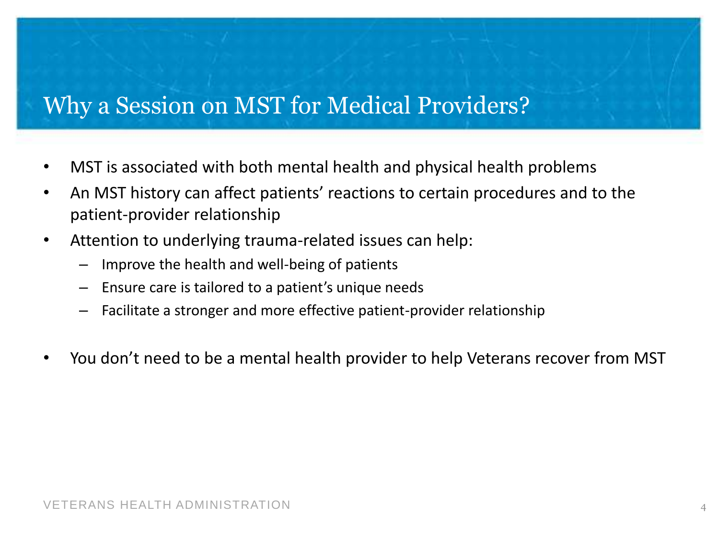# Why a Session on MST for Medical Providers?

- MST is associated with both mental health and physical health problems
- An MST history can affect patients' reactions to certain procedures and to the patient-provider relationship
- Attention to underlying trauma-related issues can help:
	- Improve the health and well-being of patients
	- Ensure care is tailored to a patient's unique needs
	- Facilitate a stronger and more effective patient-provider relationship
- You don't need to be a mental health provider to help Veterans recover from MST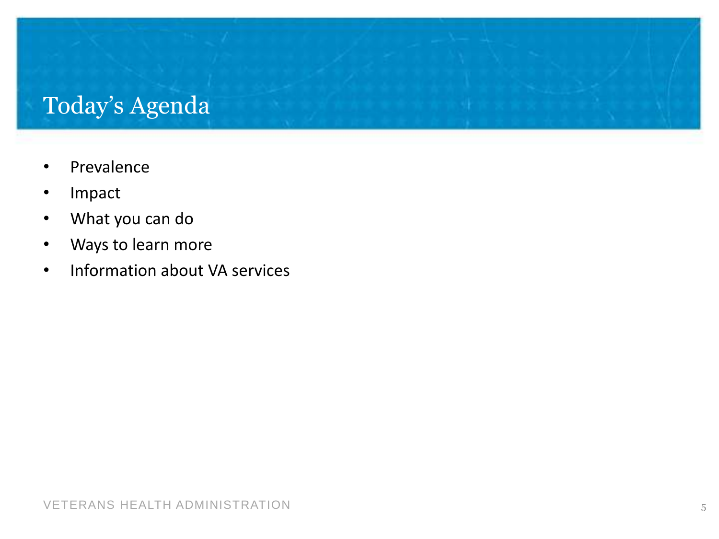# Today's Agenda

- Prevalence
- Impact
- What you can do
- Ways to learn more
- Information about VA services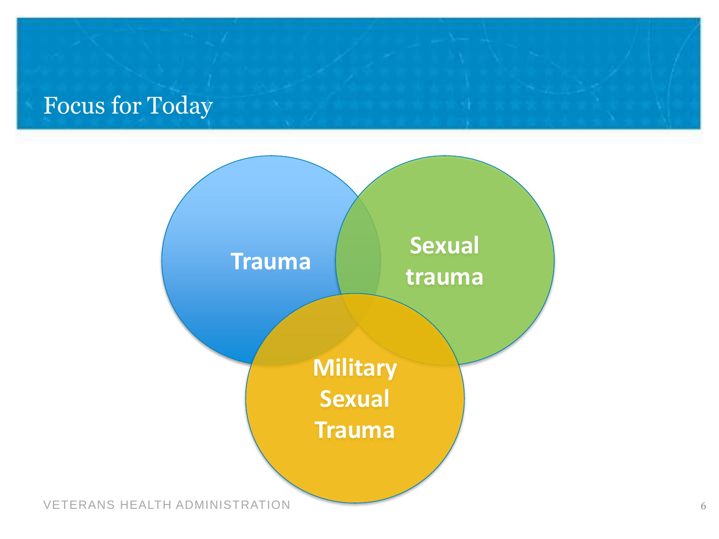# Focus for Today

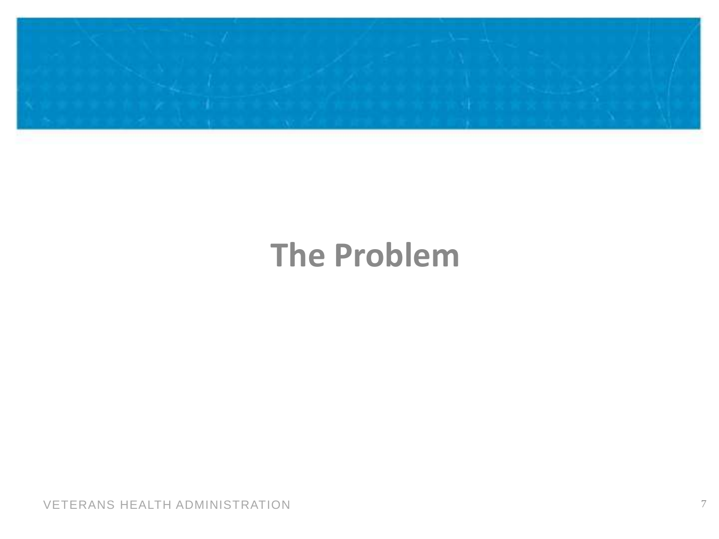

# **The Problem**

VETERANS HEALTH ADMINISTRATION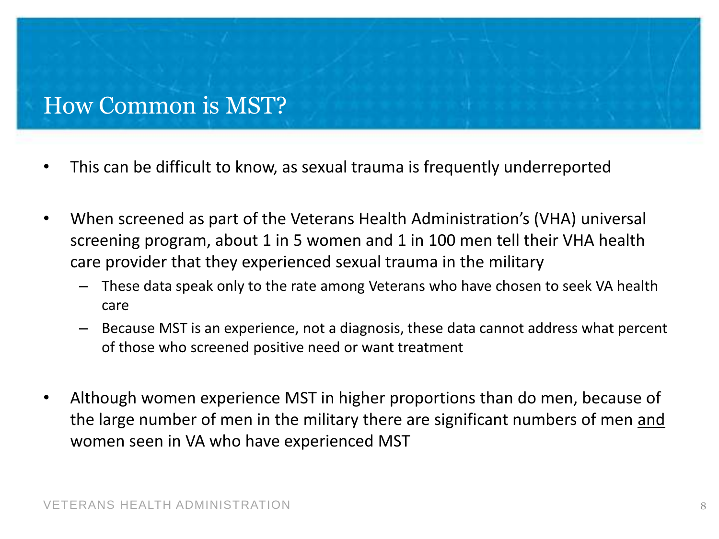#### How Common is MST?

- This can be difficult to know, as sexual trauma is frequently underreported
- When screened as part of the Veterans Health Administration's (VHA) universal screening program, about 1 in 5 women and 1 in 100 men tell their VHA health care provider that they experienced sexual trauma in the military
	- These data speak only to the rate among Veterans who have chosen to seek VA health care
	- Because MST is an experience, not a diagnosis, these data cannot address what percent of those who screened positive need or want treatment
- Although women experience MST in higher proportions than do men, because of the large number of men in the military there are significant numbers of men and women seen in VA who have experienced MST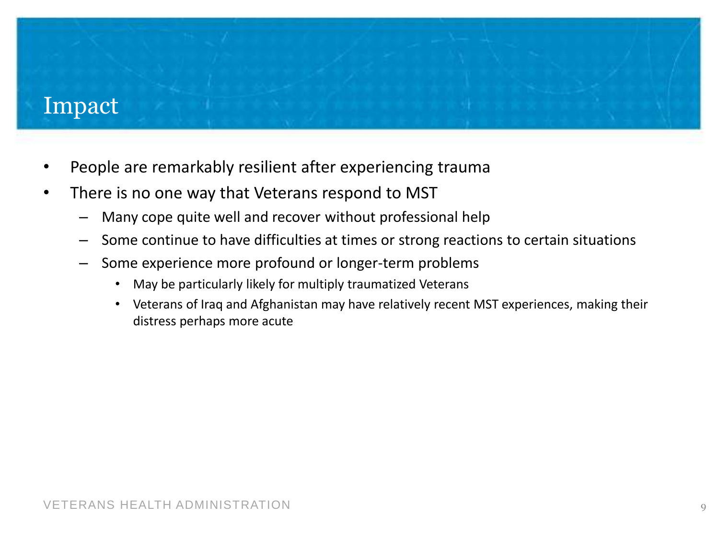#### Impact

- People are remarkably resilient after experiencing trauma
- There is no one way that Veterans respond to MST
	- Many cope quite well and recover without professional help
	- Some continue to have difficulties at times or strong reactions to certain situations
	- Some experience more profound or longer-term problems
		- May be particularly likely for multiply traumatized Veterans
		- Veterans of Iraq and Afghanistan may have relatively recent MST experiences, making their distress perhaps more acute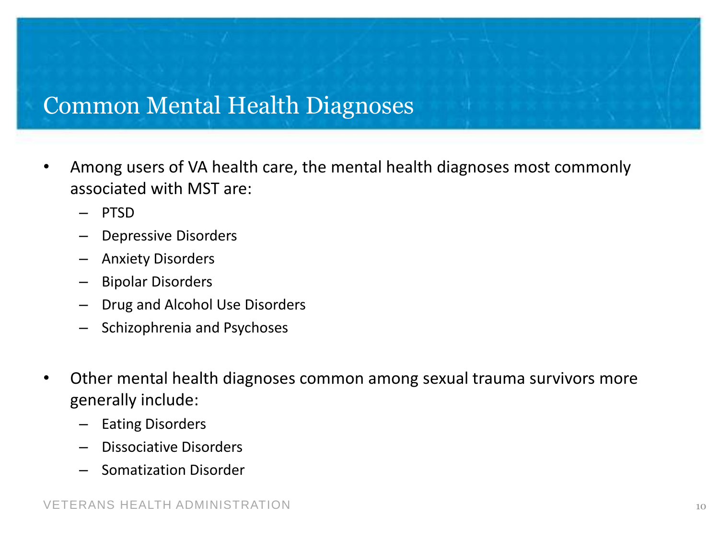#### Common Mental Health Diagnoses

- Among users of VA health care, the mental health diagnoses most commonly associated with MST are:
	- PTSD
	- Depressive Disorders
	- Anxiety Disorders
	- Bipolar Disorders
	- Drug and Alcohol Use Disorders
	- Schizophrenia and Psychoses
- Other mental health diagnoses common among sexual trauma survivors more generally include:
	- Eating Disorders
	- Dissociative Disorders
	- Somatization Disorder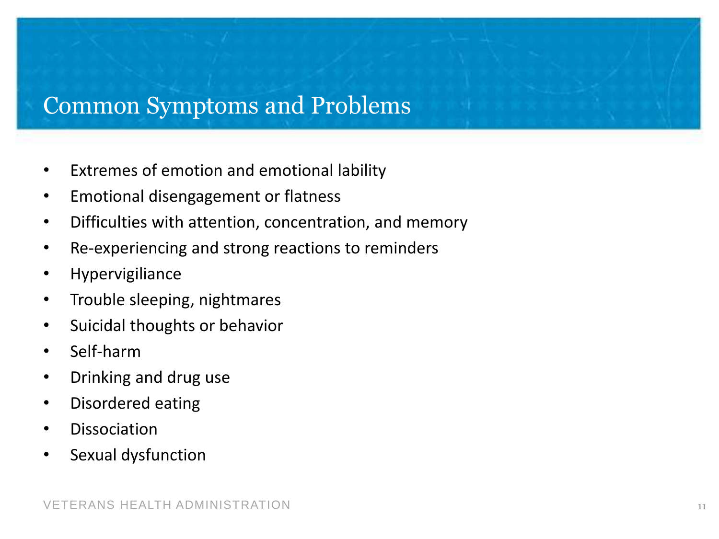#### Common Symptoms and Problems

- Extremes of emotion and emotional lability
- Emotional disengagement or flatness
- Difficulties with attention, concentration, and memory
- Re-experiencing and strong reactions to reminders
- Hypervigiliance
- Trouble sleeping, nightmares
- Suicidal thoughts or behavior
- Self-harm
- Drinking and drug use
- Disordered eating
- **Dissociation**
- Sexual dysfunction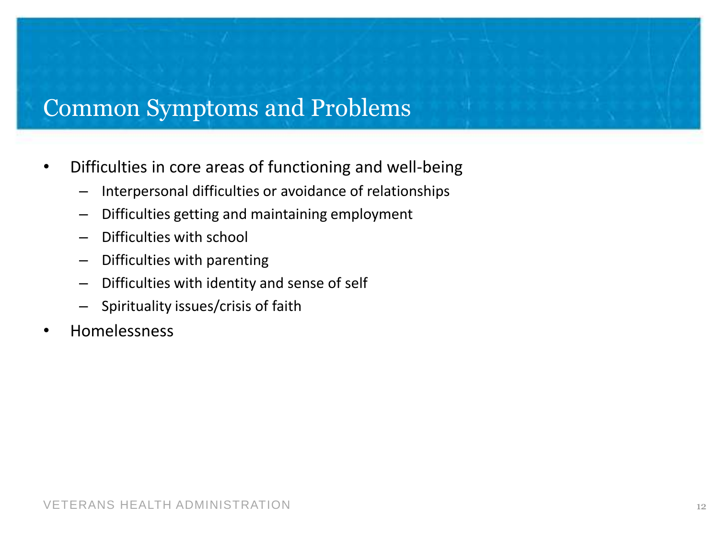# Common Symptoms and Problems

- Difficulties in core areas of functioning and well-being
	- Interpersonal difficulties or avoidance of relationships
	- Difficulties getting and maintaining employment
	- Difficulties with school
	- Difficulties with parenting
	- Difficulties with identity and sense of self
	- Spirituality issues/crisis of faith
- Homelessness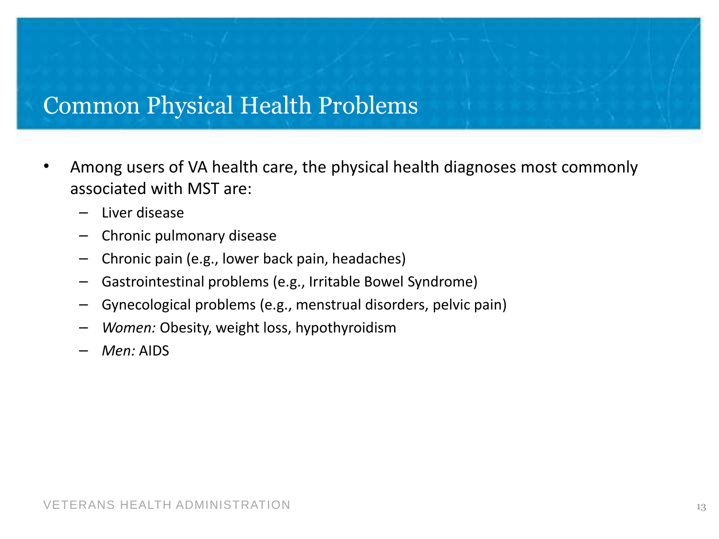#### Common Physical Health Problems

- Among users of VA health care, the physical health diagnoses most commonly associated with MST are:
	- Liver disease
	- Chronic pulmonary disease
	- Chronic pain (e.g., lower back pain, headaches)
	- Gastrointestinal problems (e.g., Irritable Bowel Syndrome)
	- Gynecological problems (e.g., menstrual disorders, pelvic pain)
	- *Women:* Obesity, weight loss, hypothyroidism
	- *Men:* AIDS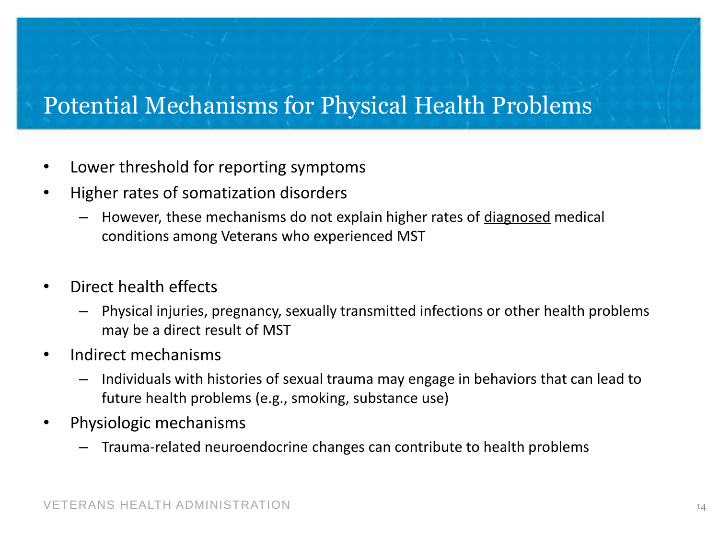# Potential Mechanisms for Physical Health Problems

- Lower threshold for reporting symptoms
- Higher rates of somatization disorders
	- However, these mechanisms do not explain higher rates of diagnosed medical conditions among Veterans who experienced MST
- Direct health effects
	- Physical injuries, pregnancy, sexually transmitted infections or other health problems may be a direct result of MST
- Indirect mechanisms
	- Individuals with histories of sexual trauma may engage in behaviors that can lead to future health problems (e.g., smoking, substance use)
- Physiologic mechanisms
	- Trauma-related neuroendocrine changes can contribute to health problems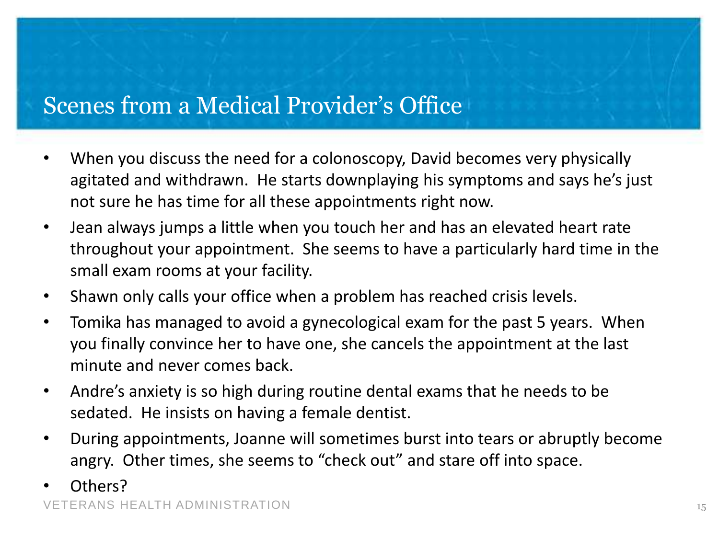# Scenes from a Medical Provider's Office

- When you discuss the need for a colonoscopy, David becomes very physically agitated and withdrawn. He starts downplaying his symptoms and says he's just not sure he has time for all these appointments right now.
- Jean always jumps a little when you touch her and has an elevated heart rate throughout your appointment. She seems to have a particularly hard time in the small exam rooms at your facility.
- Shawn only calls your office when a problem has reached crisis levels.
- Tomika has managed to avoid a gynecological exam for the past 5 years. When you finally convince her to have one, she cancels the appointment at the last minute and never comes back.
- Andre's anxiety is so high during routine dental exams that he needs to be sedated. He insists on having a female dentist.
- During appointments, Joanne will sometimes burst into tears or abruptly become angry. Other times, she seems to "check out" and stare off into space.
- Others?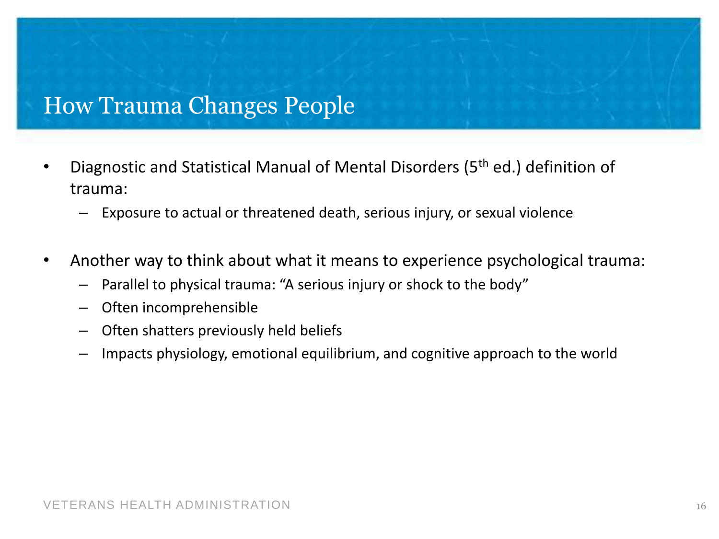#### How Trauma Changes People

- Diagnostic and Statistical Manual of Mental Disorders (5th ed.) definition of trauma:
	- Exposure to actual or threatened death, serious injury, or sexual violence
- Another way to think about what it means to experience psychological trauma:
	- Parallel to physical trauma: "A serious injury or shock to the body"
	- Often incomprehensible
	- Often shatters previously held beliefs
	- Impacts physiology, emotional equilibrium, and cognitive approach to the world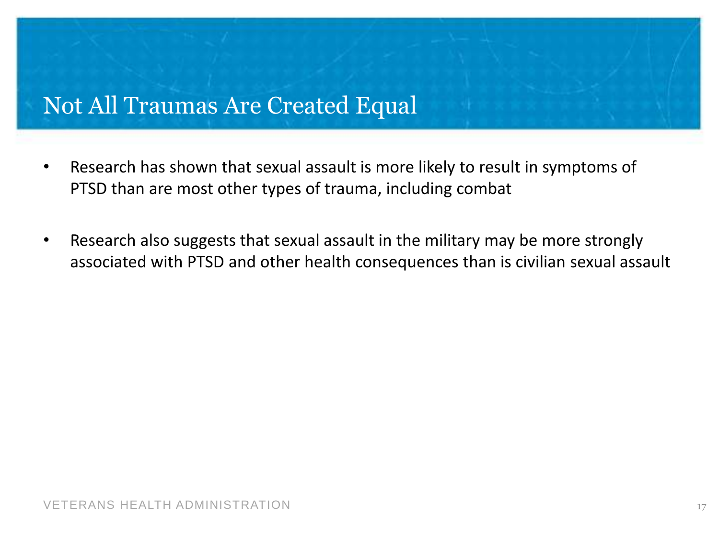#### Not All Traumas Are Created Equal

- Research has shown that sexual assault is more likely to result in symptoms of PTSD than are most other types of trauma, including combat
- Research also suggests that sexual assault in the military may be more strongly associated with PTSD and other health consequences than is civilian sexual assault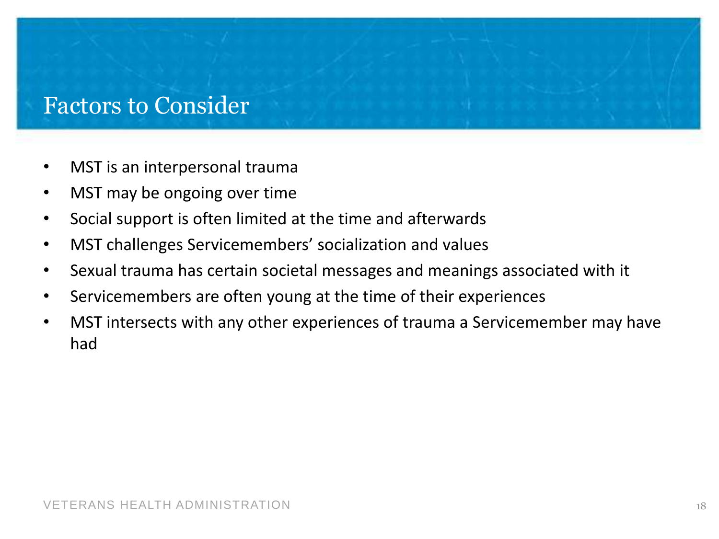#### Factors to Consider

- MST is an interpersonal trauma
- MST may be ongoing over time
- Social support is often limited at the time and afterwards
- MST challenges Servicemembers' socialization and values
- Sexual trauma has certain societal messages and meanings associated with it
- Servicemembers are often young at the time of their experiences
- MST intersects with any other experiences of trauma a Servicemember may have had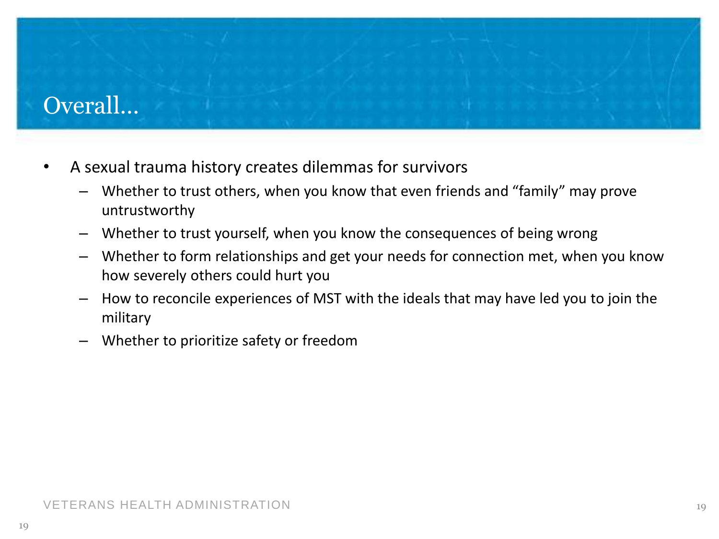# Overall…

- A sexual trauma history creates dilemmas for survivors
	- Whether to trust others, when you know that even friends and "family" may prove untrustworthy
	- Whether to trust yourself, when you know the consequences of being wrong
	- Whether to form relationships and get your needs for connection met, when you know how severely others could hurt you
	- How to reconcile experiences of MST with the ideals that may have led you to join the military
	- Whether to prioritize safety or freedom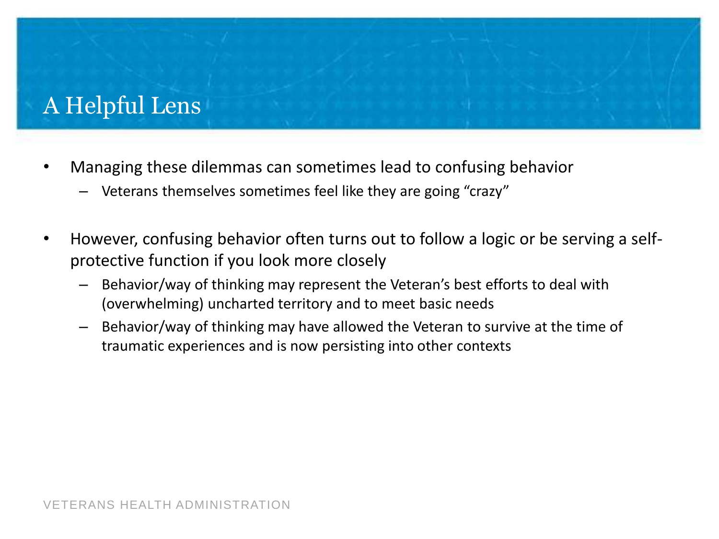# A Helpful Lens

- Managing these dilemmas can sometimes lead to confusing behavior
	- Veterans themselves sometimes feel like they are going "crazy"
- However, confusing behavior often turns out to follow a logic or be serving a selfprotective function if you look more closely
	- Behavior/way of thinking may represent the Veteran's best efforts to deal with (overwhelming) uncharted territory and to meet basic needs
	- Behavior/way of thinking may have allowed the Veteran to survive at the time of traumatic experiences and is now persisting into other contexts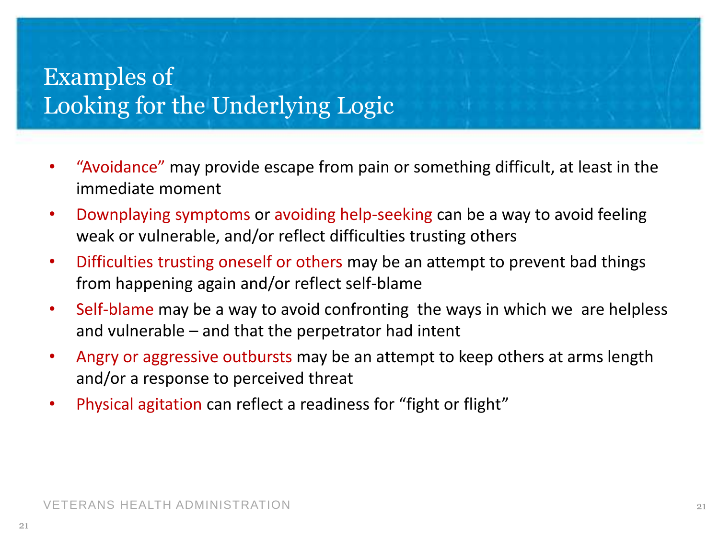# Examples of Looking for the Underlying Logic

- "Avoidance" may provide escape from pain or something difficult, at least in the immediate moment
- Downplaying symptoms or avoiding help-seeking can be a way to avoid feeling weak or vulnerable, and/or reflect difficulties trusting others
- Difficulties trusting oneself or others may be an attempt to prevent bad things from happening again and/or reflect self-blame
- Self-blame may be a way to avoid confronting the ways in which we are helpless and vulnerable – and that the perpetrator had intent
- Angry or aggressive outbursts may be an attempt to keep others at arms length and/or a response to perceived threat
- Physical agitation can reflect a readiness for "fight or flight"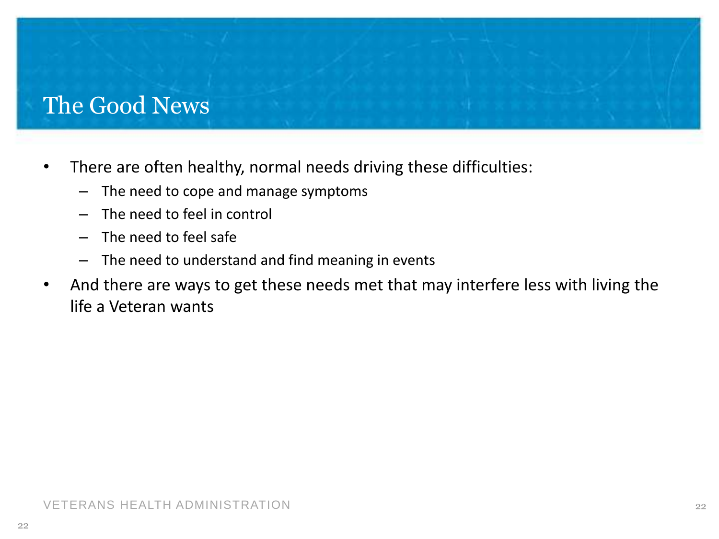# The Good News

- There are often healthy, normal needs driving these difficulties:
	- The need to cope and manage symptoms
	- The need to feel in control
	- The need to feel safe
	- The need to understand and find meaning in events
- And there are ways to get these needs met that may interfere less with living the life a Veteran wants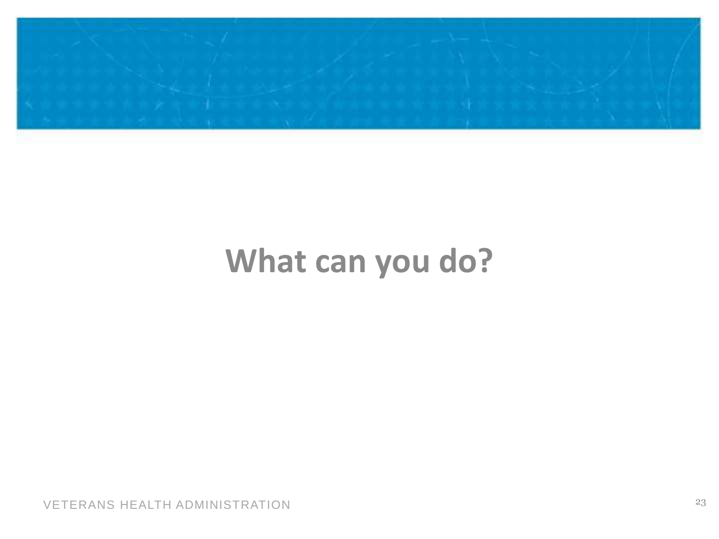

# **What can you do?**

VETERANS HEALTH ADMINISTRATION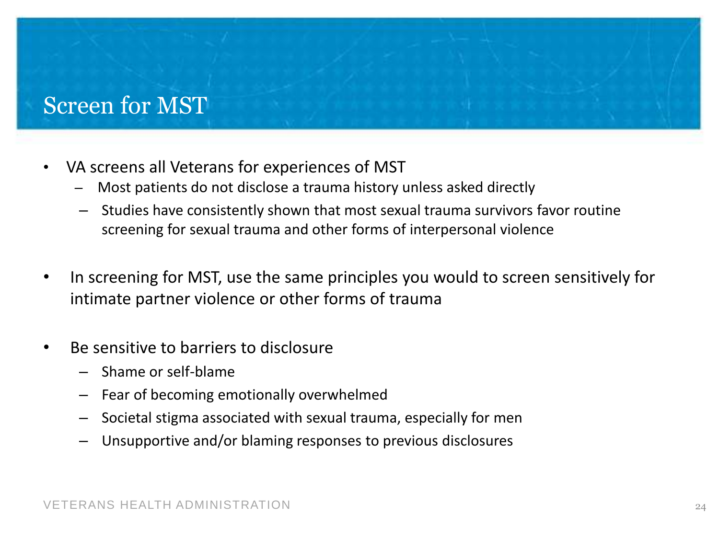#### Screen for MST

- VA screens all Veterans for experiences of MST
	- Most patients do not disclose a trauma history unless asked directly
	- Studies have consistently shown that most sexual trauma survivors favor routine screening for sexual trauma and other forms of interpersonal violence
- In screening for MST, use the same principles you would to screen sensitively for intimate partner violence or other forms of trauma
- Be sensitive to barriers to disclosure
	- Shame or self-blame
	- Fear of becoming emotionally overwhelmed
	- Societal stigma associated with sexual trauma, especially for men
	- Unsupportive and/or blaming responses to previous disclosures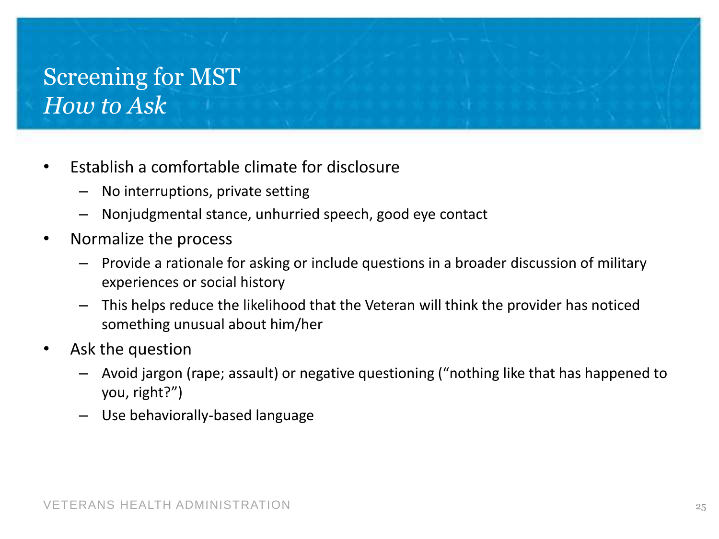# Screening for MST *How to Ask*

- Establish a comfortable climate for disclosure
	- No interruptions, private setting
	- Nonjudgmental stance, unhurried speech, good eye contact
- Normalize the process
	- Provide a rationale for asking or include questions in a broader discussion of military experiences or social history
	- This helps reduce the likelihood that the Veteran will think the provider has noticed something unusual about him/her
- Ask the question
	- Avoid jargon (rape; assault) or negative questioning ("nothing like that has happened to you, right?")
	- Use behaviorally-based language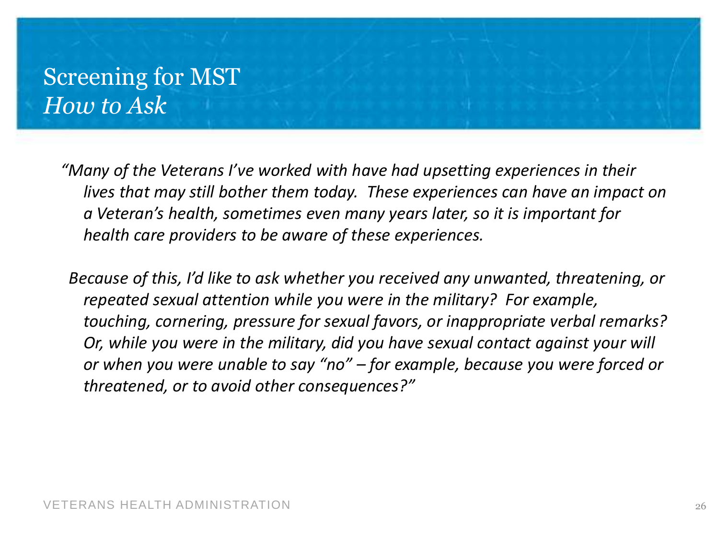#### Screening for MST *How to Ask*

*"Many of the Veterans I've worked with have had upsetting experiences in their lives that may still bother them today. These experiences can have an impact on a Veteran's health, sometimes even many years later, so it is important for health care providers to be aware of these experiences.*

 *Because of this, I'd like to ask whether you received any unwanted, threatening, or repeated sexual attention while you were in the military? For example, touching, cornering, pressure for sexual favors, or inappropriate verbal remarks? Or, while you were in the military, did you have sexual contact against your will or when you were unable to say "no" – for example, because you were forced or threatened, or to avoid other consequences?"*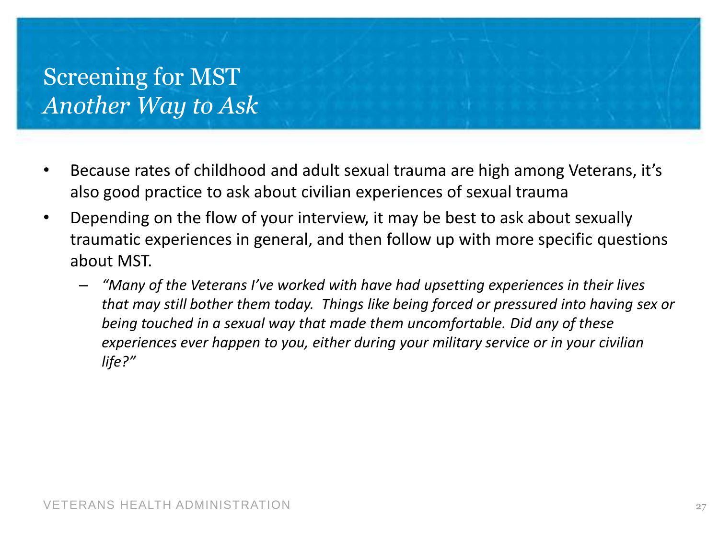# Screening for MST *Another Way to Ask*

- Because rates of childhood and adult sexual trauma are high among Veterans, it's also good practice to ask about civilian experiences of sexual trauma
- Depending on the flow of your interview, it may be best to ask about sexually traumatic experiences in general, and then follow up with more specific questions about MST.
	- *"Many of the Veterans I've worked with have had upsetting experiences in their lives that may still bother them today. Things like being forced or pressured into having sex or being touched in a sexual way that made them uncomfortable. Did any of these experiences ever happen to you, either during your military service or in your civilian life?"*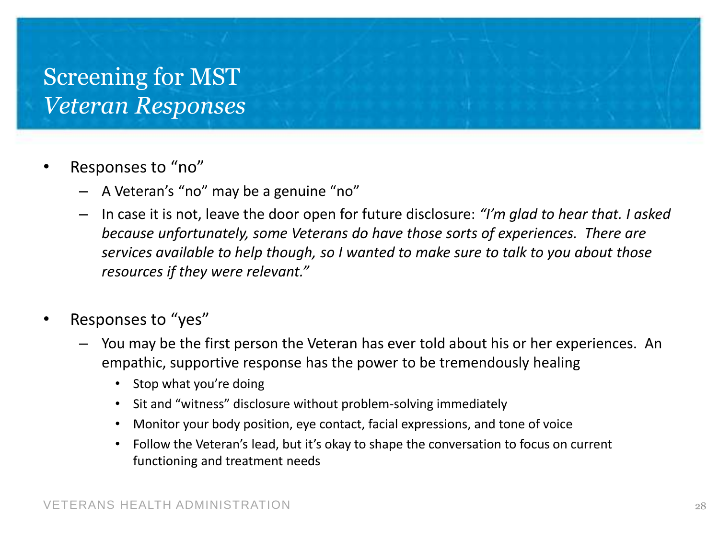# Screening for MST *Veteran Responses*

- Responses to "no"
	- A Veteran's "no" may be a genuine "no"
	- In case it is not, leave the door open for future disclosure: *"I'm glad to hear that. I asked because unfortunately, some Veterans do have those sorts of experiences. There are services available to help though, so I wanted to make sure to talk to you about those resources if they were relevant."*
- Responses to "yes"
	- You may be the first person the Veteran has ever told about his or her experiences. An empathic, supportive response has the power to be tremendously healing
		- Stop what you're doing
		- Sit and "witness" disclosure without problem-solving immediately
		- Monitor your body position, eye contact, facial expressions, and tone of voice
		- Follow the Veteran's lead, but it's okay to shape the conversation to focus on current functioning and treatment needs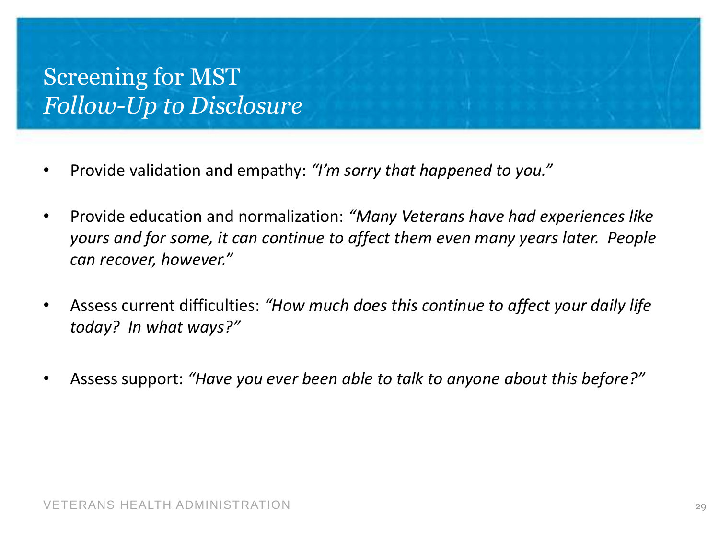# Screening for MST *Follow-Up to Disclosure*

- Provide validation and empathy: *"I'm sorry that happened to you."*
- Provide education and normalization: *"Many Veterans have had experiences like yours and for some, it can continue to affect them even many years later. People can recover, however."*
- Assess current difficulties: *"How much does this continue to affect your daily life today? In what ways?"*
- Assess support: *"Have you ever been able to talk to anyone about this before?"*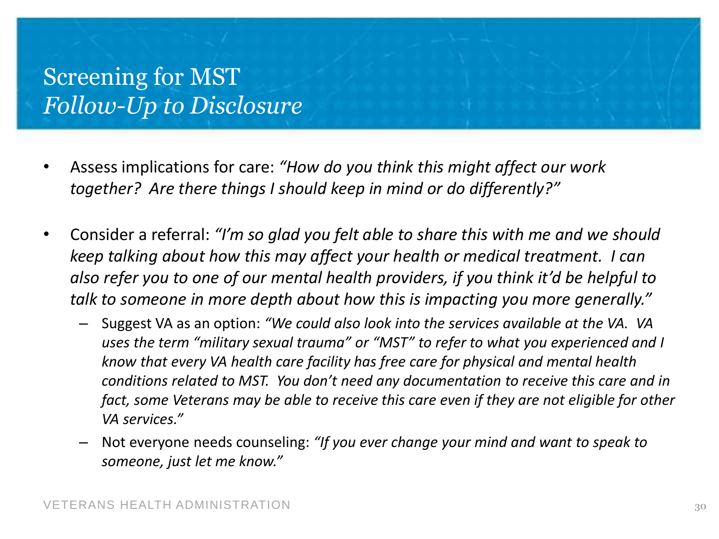# Screening for MST *Follow-Up to Disclosure*

- Assess implications for care: *"How do you think this might affect our work together? Are there things I should keep in mind or do differently?"*
- Consider a referral: *"I'm so glad you felt able to share this with me and we should keep talking about how this may affect your health or medical treatment. I can also refer you to one of our mental health providers, if you think it'd be helpful to talk to someone in more depth about how this is impacting you more generally."*
	- Suggest VA as an option: *"We could also look into the services available at the VA. VA uses the term "military sexual trauma" or "MST" to refer to what you experienced and I know that every VA health care facility has free care for physical and mental health conditions related to MST. You don't need any documentation to receive this care and in fact, some Veterans may be able to receive this care even if they are not eligible for other VA services."*
	- Not everyone needs counseling: *"If you ever change your mind and want to speak to someone, just let me know."*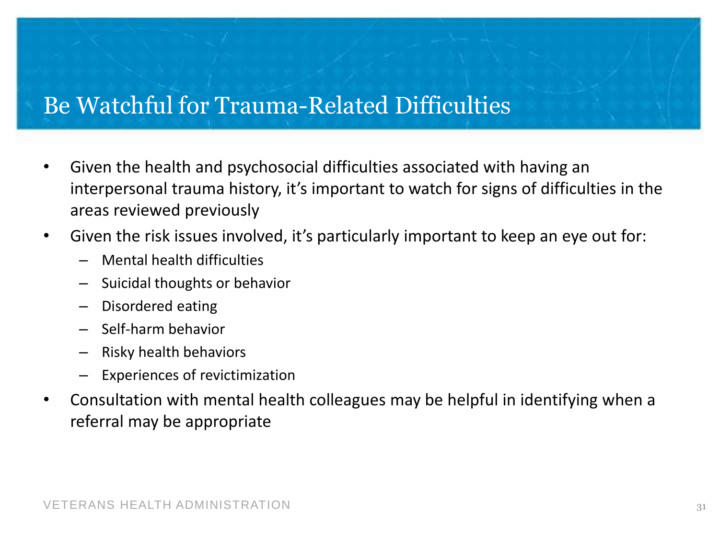# Be Watchful for Trauma-Related Difficulties

- Given the health and psychosocial difficulties associated with having an interpersonal trauma history, it's important to watch for signs of difficulties in the areas reviewed previously
- Given the risk issues involved, it's particularly important to keep an eye out for:
	- Mental health difficulties
	- Suicidal thoughts or behavior
	- Disordered eating
	- Self-harm behavior
	- Risky health behaviors
	- Experiences of revictimization
- Consultation with mental health colleagues may be helpful in identifying when a referral may be appropriate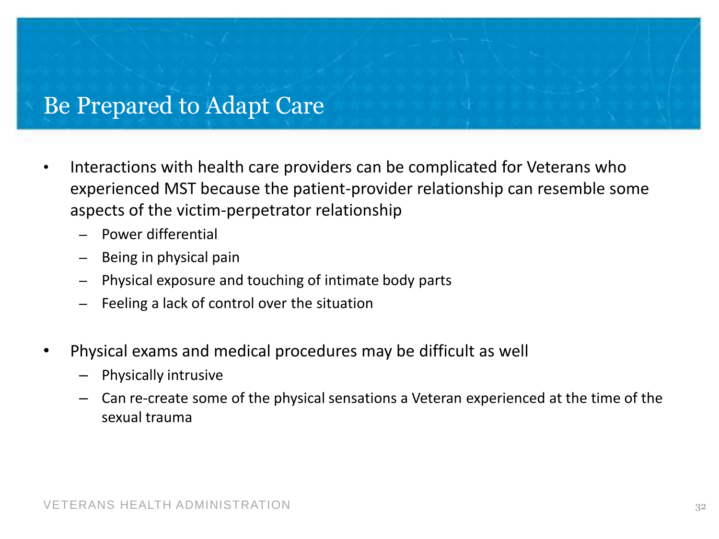#### Be Prepared to Adapt Care

- Interactions with health care providers can be complicated for Veterans who experienced MST because the patient-provider relationship can resemble some aspects of the victim-perpetrator relationship
	- Power differential
	- Being in physical pain
	- Physical exposure and touching of intimate body parts
	- Feeling a lack of control over the situation
- Physical exams and medical procedures may be difficult as well
	- Physically intrusive
	- Can re-create some of the physical sensations a Veteran experienced at the time of the sexual trauma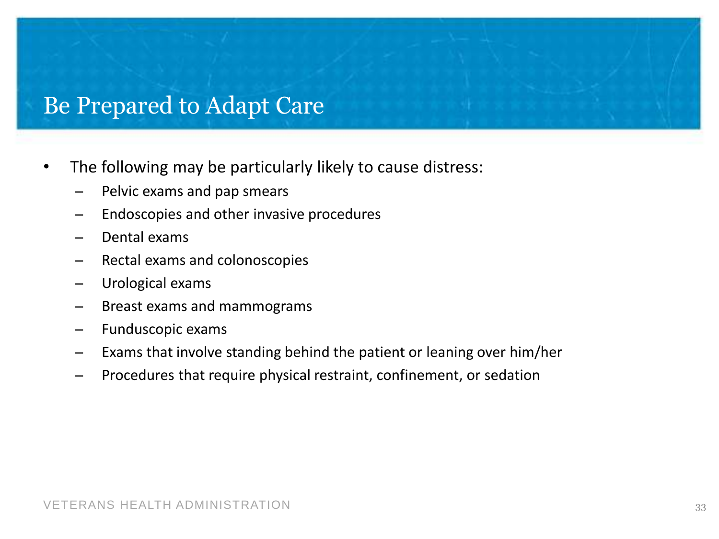#### Be Prepared to Adapt Care

- The following may be particularly likely to cause distress:
	- Pelvic exams and pap smears
	- ̶ Endoscopies and other invasive procedures
	- ̶ Dental exams
	- ̶ Rectal exams and colonoscopies
	- Urological exams
	- ̶ Breast exams and mammograms
	- ̶ Funduscopic exams
	- ̶ Exams that involve standing behind the patient or leaning over him/her
	- ̶ Procedures that require physical restraint, confinement, or sedation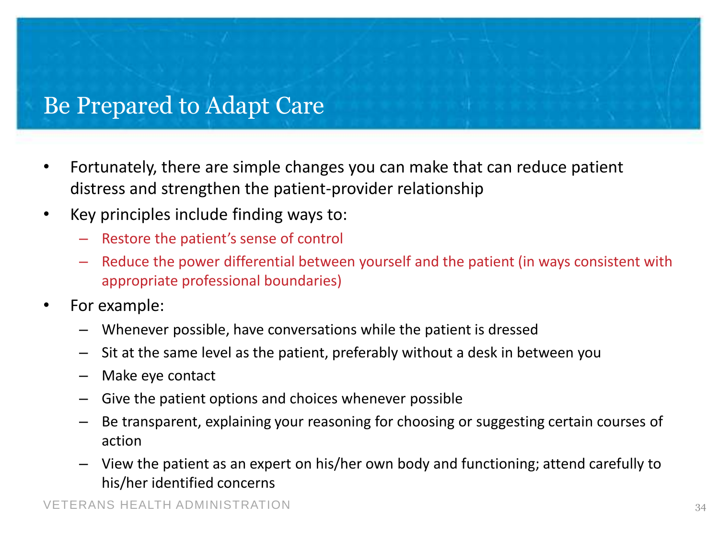## Be Prepared to Adapt Care

- Fortunately, there are simple changes you can make that can reduce patient distress and strengthen the patient-provider relationship
- Key principles include finding ways to:
	- Restore the patient's sense of control
	- Reduce the power differential between yourself and the patient (in ways consistent with appropriate professional boundaries)
- For example:
	- Whenever possible, have conversations while the patient is dressed
	- Sit at the same level as the patient, preferably without a desk in between you
	- Make eye contact
	- Give the patient options and choices whenever possible
	- Be transparent, explaining your reasoning for choosing or suggesting certain courses of action
	- View the patient as an expert on his/her own body and functioning; attend carefully to his/her identified concerns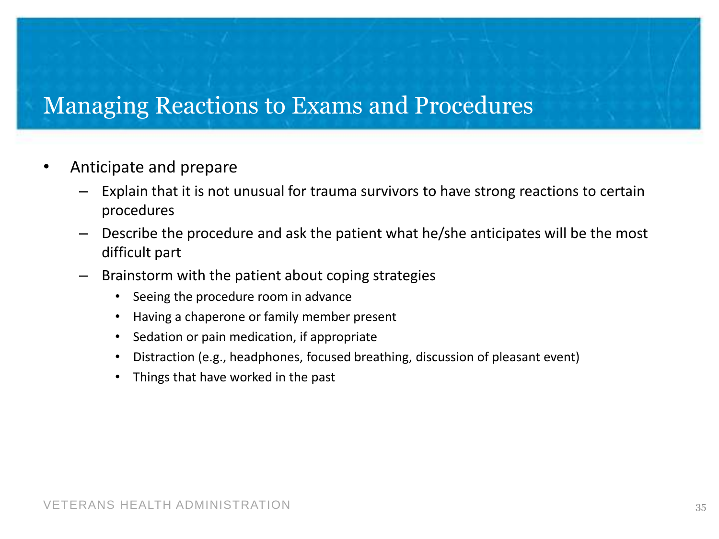#### Managing Reactions to Exams and Procedures

- Anticipate and prepare
	- Explain that it is not unusual for trauma survivors to have strong reactions to certain procedures
	- Describe the procedure and ask the patient what he/she anticipates will be the most difficult part
	- Brainstorm with the patient about coping strategies
		- Seeing the procedure room in advance
		- Having a chaperone or family member present
		- Sedation or pain medication, if appropriate
		- Distraction (e.g., headphones, focused breathing, discussion of pleasant event)
		- Things that have worked in the past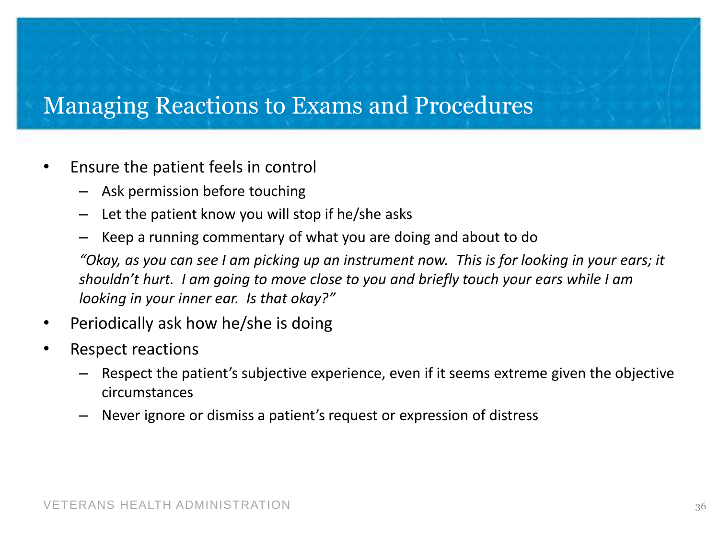#### Managing Reactions to Exams and Procedures

- Ensure the patient feels in control
	- Ask permission before touching
	- Let the patient know you will stop if he/she asks
	- Keep a running commentary of what you are doing and about to do

*"Okay, as you can see I am picking up an instrument now. This is for looking in your ears; it shouldn't hurt. I am going to move close to you and briefly touch your ears while I am looking in your inner ear. Is that okay?"*

- Periodically ask how he/she is doing
- Respect reactions
	- Respect the patient's subjective experience, even if it seems extreme given the objective circumstances
	- Never ignore or dismiss a patient's request or expression of distress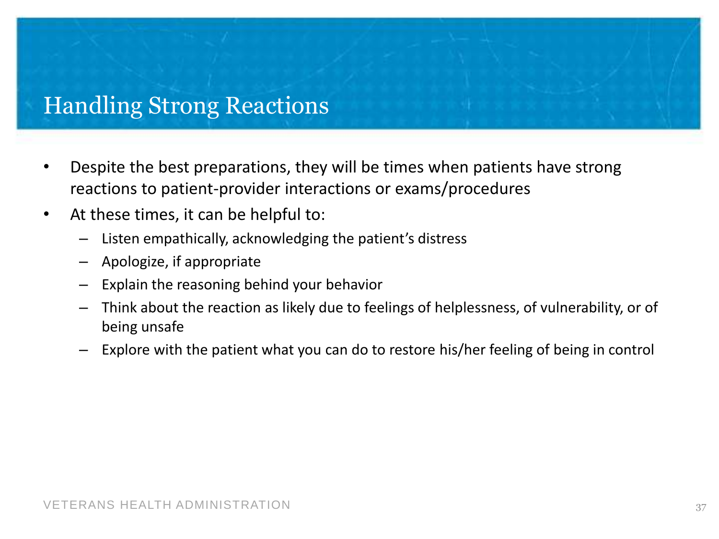# Handling Strong Reactions

- Despite the best preparations, they will be times when patients have strong reactions to patient-provider interactions or exams/procedures
- At these times, it can be helpful to:
	- Listen empathically, acknowledging the patient's distress
	- Apologize, if appropriate
	- Explain the reasoning behind your behavior
	- Think about the reaction as likely due to feelings of helplessness, of vulnerability, or of being unsafe
	- Explore with the patient what you can do to restore his/her feeling of being in control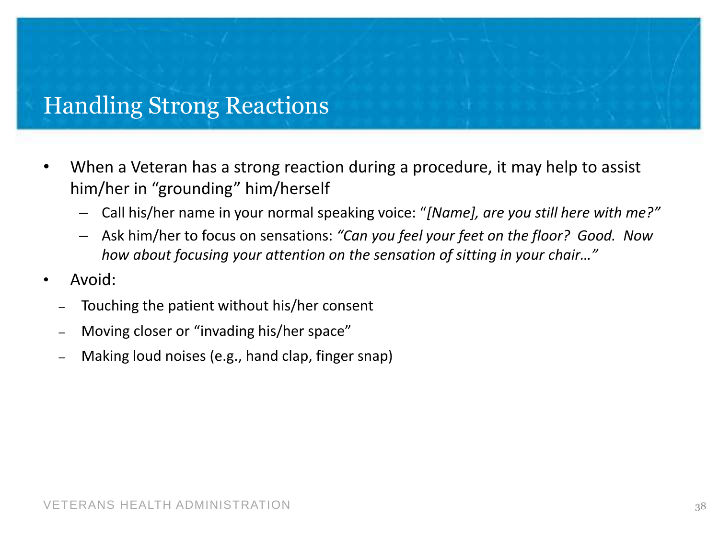# Handling Strong Reactions

- When a Veteran has a strong reaction during a procedure, it may help to assist him/her in "grounding" him/herself
	- Call his/her name in your normal speaking voice: "*[Name], are you still here with me?"*
	- Ask him/her to focus on sensations: *"Can you feel your feet on the floor? Good. Now how about focusing your attention on the sensation of sitting in your chair…"*
- Avoid:
	- Touching the patient without his/her consent
	- Moving closer or "invading his/her space"
	- Making loud noises (e.g., hand clap, finger snap)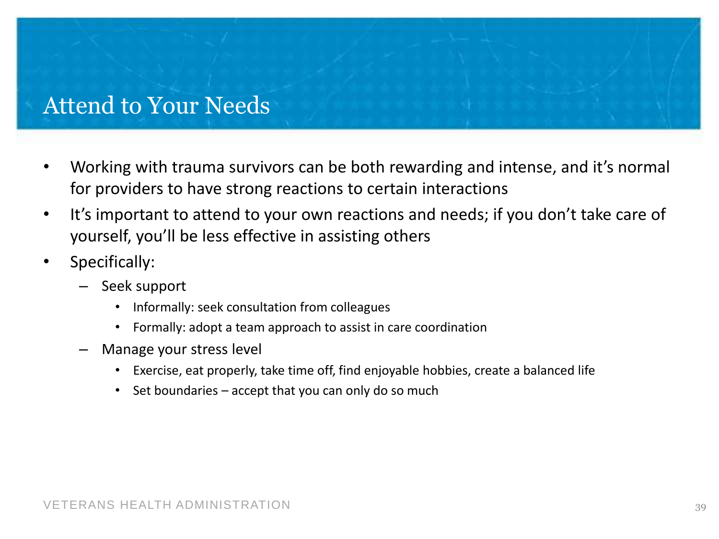#### Attend to Your Needs

- Working with trauma survivors can be both rewarding and intense, and it's normal for providers to have strong reactions to certain interactions
- It's important to attend to your own reactions and needs; if you don't take care of yourself, you'll be less effective in assisting others
- Specifically:
	- Seek support
		- Informally: seek consultation from colleagues
		- Formally: adopt a team approach to assist in care coordination
	- Manage your stress level
		- Exercise, eat properly, take time off, find enjoyable hobbies, create a balanced life
		- Set boundaries  $-$  accept that you can only do so much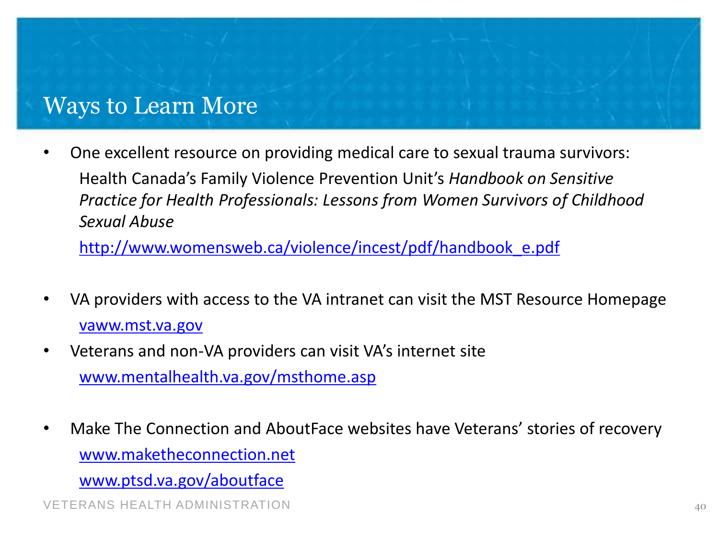#### Ways to Learn More

• One excellent resource on providing medical care to sexual trauma survivors: Health Canada's Family Violence Prevention Unit's *Handbook on Sensitive Practice for Health Professionals: Lessons from Women Survivors of Childhood Sexual Abuse*

[http://www.womensweb.ca/violence/incest/pdf/handbook\\_e.pdf](http://www.womensweb.ca/violence/incest/pdf/handbook_e.pdf)

- VA providers with access to the VA intranet can visit the MST Resource Homepage <vaww.mst.va.gov>
- Veterans and non-VA providers can visit VA's internet site [www.mentalhealth.va.gov/msthome.asp](http://www.mentalhealth.va.gov/msthome.asp)
- Make The Connection and AboutFace websites have Veterans' stories of recovery [www.maketheconnection.net](http://www.maketheconnection.net/)

[www.ptsd.va.gov/aboutface](http://www.ptsd.va.gov/aboutface)

VETERANS HEALTH ADMINISTRATION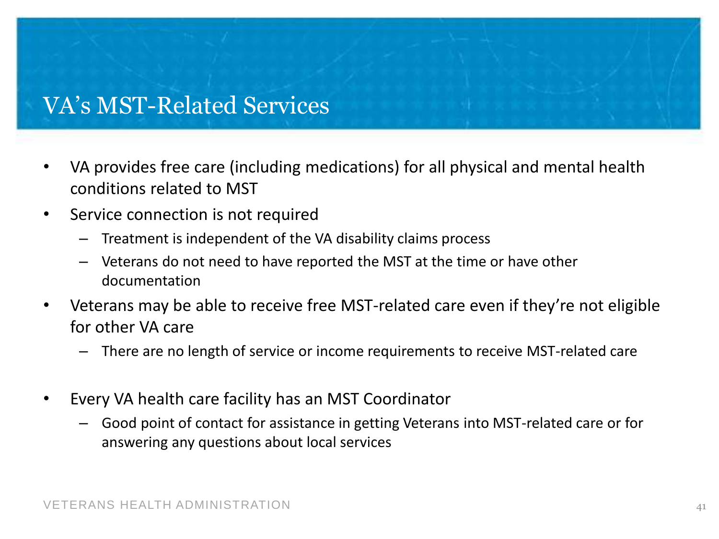# VA's MST-Related Services

- VA provides free care (including medications) for all physical and mental health conditions related to MST
- Service connection is not required
	- Treatment is independent of the VA disability claims process
	- Veterans do not need to have reported the MST at the time or have other documentation
- Veterans may be able to receive free MST-related care even if they're not eligible for other VA care
	- There are no length of service or income requirements to receive MST-related care
- Every VA health care facility has an MST Coordinator
	- Good point of contact for assistance in getting Veterans into MST-related care or for answering any questions about local services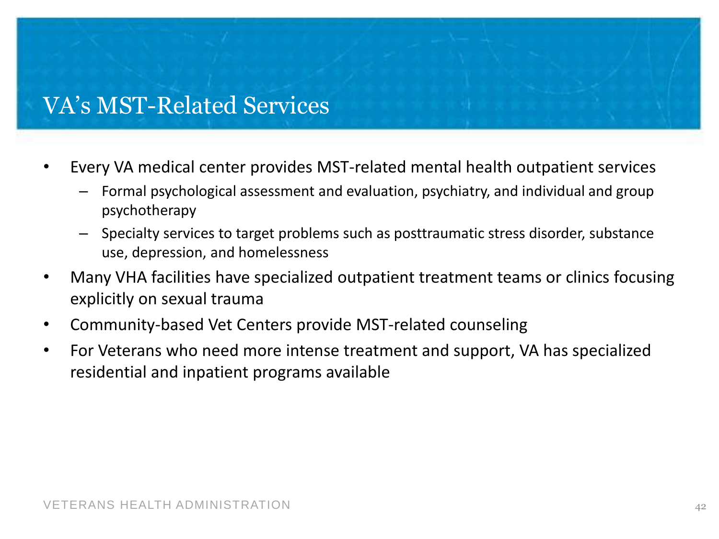# VA's MST-Related Services

- Every VA medical center provides MST-related mental health outpatient services
	- Formal psychological assessment and evaluation, psychiatry, and individual and group psychotherapy
	- Specialty services to target problems such as posttraumatic stress disorder, substance use, depression, and homelessness
- Many VHA facilities have specialized outpatient treatment teams or clinics focusing explicitly on sexual trauma
- Community-based Vet Centers provide MST-related counseling
- For Veterans who need more intense treatment and support, VA has specialized residential and inpatient programs available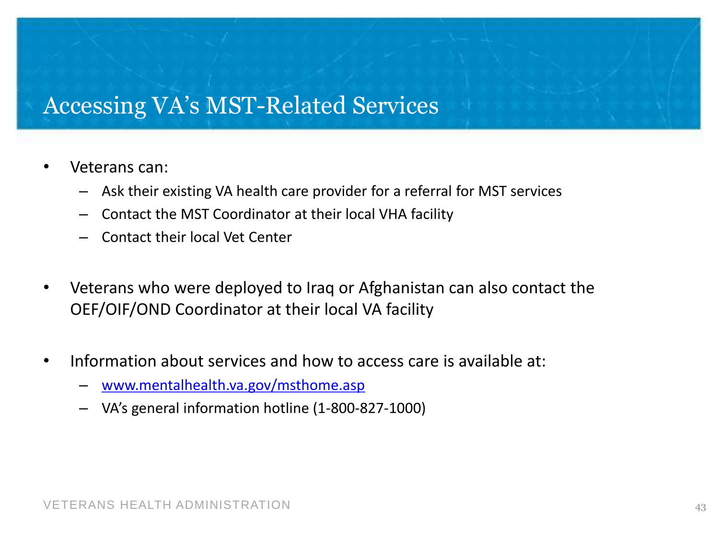#### Accessing VA's MST-Related Services

- Veterans can:
	- Ask their existing VA health care provider for a referral for MST services
	- Contact the MST Coordinator at their local VHA facility
	- Contact their local Vet Center
- Veterans who were deployed to Iraq or Afghanistan can also contact the OEF/OIF/OND Coordinator at their local VA facility
- Information about services and how to access care is available at:
	- [www.mentalhealth.va.gov/msthome.asp](http://www.mentalhealth.va.gov/msthome.asp)
	- VA's general information hotline (1-800-827-1000)